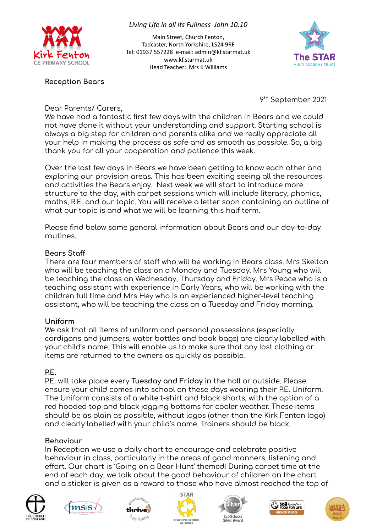

### *Living Life in all its Fullness John 10:10*

Main Street, Church Fenton, Tadcaster, North Yorkshire, LS24 9RF Tel: 01937 557228 e-mail: admin@kf.starmat.uk www.kf.starmat.uk Head Teacher: Mrs K Williams



## **Reception Bears**

9 th September 2021

Dear Parents/ Carers,

We have had a fantastic first few days with the children in Bears and we could not have done it without your understanding and support. Starting school is always a big step for children and parents alike and we really appreciate all your help in making the process as safe and as smooth as possible. So, a big thank you for all your cooperation and patience this week.

Over the last few days in Bears we have been getting to know each other and exploring our provision areas. This has been exciting seeing all the resources and activities the Bears enjoy. Next week we will start to introduce more structure to the day, with carpet sessions which will include literacy, phonics, maths, R.E. and our topic. You will receive a letter soon containing an outline of what our topic is and what we will be learning this half term.

Please find below some general information about Bears and our day-to-day routines.

## **Bears Staff**

There are four members of staff who will be working in Bears class. Mrs Skelton who will be teaching the class on a Monday and Tuesday. Mrs Young who will be teaching the class on Wednesday, Thursday and Friday. Mrs Peace who is a teaching assistant with experience in Early Years, who will be working with the children full time and Mrs Hey who is an experienced higher-level teaching assistant, who will be teaching the class on a Tuesday and Friday morning.

## **Uniform**

We ask that all items of uniform and personal possessions (especially cardigans and jumpers, water bottles and book bags) are clearly labelled with your child's name. This will enable us to make sure that any lost clothing or items are returned to the owners as quickly as possible.

# **P.E.**

P.E. will take place every **Tuesday and Friday** in the hall or outside. Please ensure your child comes into school on these days wearing their P.E. Uniform. The Uniform consists of a white t-shirt and black shorts, with the option of a red hooded top and black jogging bottoms for cooler weather. These items should be as plain as possible, without logos (other than the Kirk Fenton logo) and clearly labelled with your child's name. Trainers should be black.

# **Behaviour**

In Reception we use a daily chart to encourage and celebrate positive behaviour in class, particularly in the areas of good manners, listening and effort. Our chart is 'Going on a Bear Hunt' themed! During carpet time at the end of each day, we talk about the good behaviour of children on the chart and a sticker is given as a reward to those who have almost reached the top of













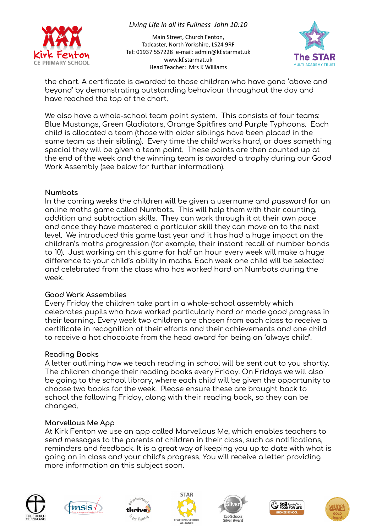

## *Living Life in all its Fullness John 10:10*

Main Street, Church Fenton, Tadcaster, North Yorkshire, LS24 9RF Tel: 01937 557228 e-mail: admin@kf.starmat.uk www.kf.starmat.uk Head Teacher: Mrs K Williams



the chart. A certificate is awarded to those children who have gone 'above and beyond' by demonstrating outstanding behaviour throughout the day and have reached the top of the chart.

We also have a whole-school team point system. This consists of four teams: Blue Mustangs, Green Gladiators, Orange Spitfires and Purple Typhoons. Each child is allocated a team (those with older siblings have been placed in the same team as their sibling). Every time the child works hard, or does something special they will be given a team point. These points are then counted up at the end of the week and the winning team is awarded a trophy during our Good Work Assembly (see below for further information).

### **Numbots**

In the coming weeks the children will be given a username and password for an online maths game called Numbots. This will help them with their counting, addition and subtraction skills. They can work through it at their own pace and once they have mastered a particular skill they can move on to the next level. We introduced this game last year and it has had a huge impact on the children's maths progression (for example, their instant recall of number bonds to 10). Just working on this game for half an hour every week will make a huge difference to your child's ability in maths. Each week one child will be selected and celebrated from the class who has worked hard on Numbots during the week.

## **Good Work Assemblies**

Every Friday the children take part in a whole-school assembly which celebrates pupils who have worked particularly hard or made good progress in their learning. Every week two children are chosen from each class to receive a certificate in recognition of their efforts and their achievements and one child to receive a hot chocolate from the head award for being an 'always child'.

## **Reading Books**

A letter outlining how we teach reading in school will be sent out to you shortly. The children change their reading books every Friday. On Fridays we will also be going to the school library, where each child will be given the opportunity to choose two books for the week. Please ensure these are brought back to school the following Friday, along with their reading book, so they can be changed.

### **Marvellous Me App**

At Kirk Fenton we use an app called Marvellous Me, which enables teachers to send messages to the parents of children in their class, such as notifications, reminders and feedback. It is a great way of keeping you up to date with what is going on in class and your child's progress. You will receive a letter providing more information on this subject soon.